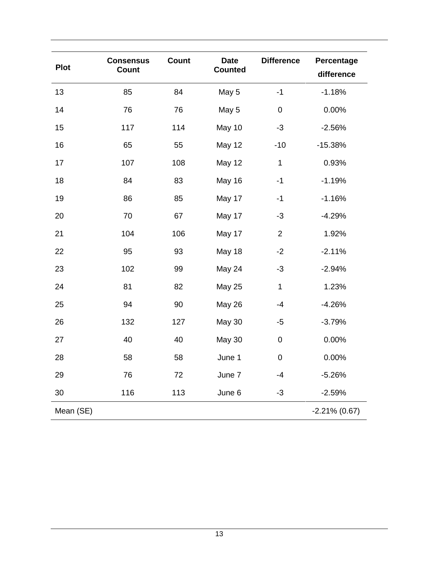|             | <b>Consensus</b> | <b>Count</b> | <b>Date</b>    | <b>Difference</b> | Percentage       |
|-------------|------------------|--------------|----------------|-------------------|------------------|
| <b>Plot</b> | Count            |              | <b>Counted</b> |                   | difference       |
| 13          | 85               | 84           | May 5          | $-1$              | $-1.18%$         |
| 14          | 76               | 76           | May 5          | $\pmb{0}$         | 0.00%            |
| 15          | 117              | 114          | May 10         | $-3$              | $-2.56%$         |
| 16          | 65               | 55           | <b>May 12</b>  | $-10$             | $-15.38%$        |
| 17          | 107              | 108          | May 12         | $\mathbf{1}$      | 0.93%            |
| 18          | 84               | 83           | May 16         | $-1$              | $-1.19%$         |
| 19          | 86               | 85           | May 17         | $-1$              | $-1.16%$         |
| 20          | 70               | 67           | May 17         | $-3$              | $-4.29%$         |
| 21          | 104              | 106          | May 17         | $\overline{2}$    | 1.92%            |
| 22          | 95               | 93           | May 18         | $-2$              | $-2.11%$         |
| 23          | 102              | 99           | May 24         | $-3$              | $-2.94%$         |
| 24          | 81               | 82           | <b>May 25</b>  | $\mathbf{1}$      | 1.23%            |
| 25          | 94               | 90           | <b>May 26</b>  | $-4$              | $-4.26%$         |
| 26          | 132              | 127          | May 30         | $-5$              | $-3.79%$         |
| 27          | 40               | 40           | <b>May 30</b>  | $\pmb{0}$         | 0.00%            |
| 28          | 58               | 58           | June 1         | $\pmb{0}$         | 0.00%            |
| 29          | 76               | 72           | June 7         | $-4$              | $-5.26%$         |
| 30          | 116              | 113          | June 6         | $-3$              | $-2.59%$         |
| Mean (SE)   |                  |              |                |                   | $-2.21\%$ (0.67) |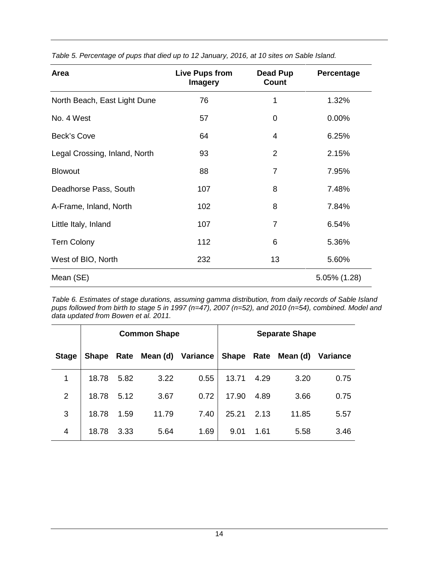| Area                          | Live Pups from<br><b>Imagery</b> | Dead Pup<br>Count | Percentage   |
|-------------------------------|----------------------------------|-------------------|--------------|
| North Beach, East Light Dune  | 76                               | 1                 | 1.32%        |
| No. 4 West                    | 57                               | 0                 | $0.00\%$     |
| Beck's Cove                   | 64                               | 4                 | 6.25%        |
| Legal Crossing, Inland, North | 93                               | $\overline{2}$    | 2.15%        |
| <b>Blowout</b>                | 88                               | $\overline{7}$    | 7.95%        |
| Deadhorse Pass, South         | 107                              | 8                 | 7.48%        |
| A-Frame, Inland, North        | 102                              | 8                 | 7.84%        |
| Little Italy, Inland          | 107                              | $\overline{7}$    | 6.54%        |
| <b>Tern Colony</b>            | 112                              | 6                 | 5.36%        |
| West of BIO, North            | 232                              | 13                | 5.60%        |
| Mean (SE)                     |                                  |                   | 5.05% (1.28) |

*Table 5. Percentage of pups that died up to 12 January, 2016, at 10 sites on Sable Island.*

*Table 6. Estimates of stage durations, assuming gamma distribution, from daily records of Sable Island pups followed from birth to stage 5 in 1997 (n=47), 2007 (n=52), and 2010 (n=54), combined. Model and data updated from Bowen et al. 2011.* 

|                | <b>Common Shape</b> |      |                   |      | <b>Separate Shape</b> |      |                     |          |
|----------------|---------------------|------|-------------------|------|-----------------------|------|---------------------|----------|
| <b>Stage</b>   | Shape Rate          |      | Mean (d) Variance |      |                       |      | Shape Rate Mean (d) | Variance |
| 1              | 18.78               | 5.82 | 3.22              | 0.55 | 13.71                 | 4.29 | 3.20                | 0.75     |
| $\overline{2}$ | 18.78               | 5.12 | 3.67              | 0.72 | 17.90                 | 4.89 | 3.66                | 0.75     |
| 3              | 18.78               | 1.59 | 11.79             | 7.40 | 25.21                 | 2.13 | 11.85               | 5.57     |
| 4              | 18.78               | 3.33 | 5.64              | 1.69 | 9.01                  | 1.61 | 5.58                | 3.46     |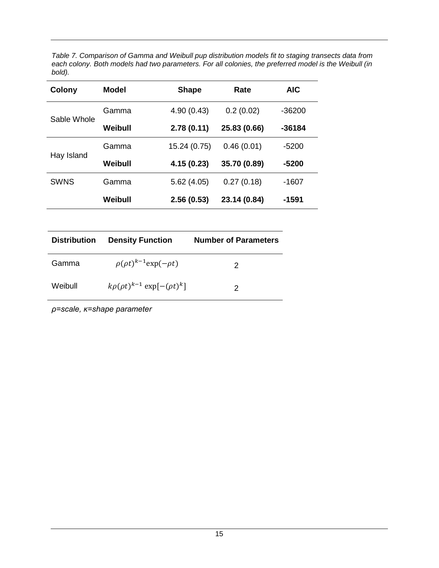*Table 7. Comparison of Gamma and Weibull pup distribution models fit to staging transects data from each colony. Both models had two parameters. For all colonies, the preferred model is the Weibull (in bold).* 

| Colony      | <b>Model</b> | <b>Shape</b> | Rate         | <b>AIC</b> |
|-------------|--------------|--------------|--------------|------------|
| Sable Whole | Gamma        | 4.90(0.43)   | 0.2(0.02)    | $-36200$   |
|             | Weibull      | 2.78(0.11)   | 25.83 (0.66) | $-36184$   |
| Hay Island  | Gamma        | 15.24 (0.75) | 0.46(0.01)   | $-5200$    |
|             | Weibull      | 4.15 (0.23)  | 35.70 (0.89) | $-5200$    |
| <b>SWNS</b> | Gamma        | 5.62(4.05)   | 0.27(0.18)   | $-1607$    |
|             | Weibull      | 2.56(0.53)   | 23.14 (0.84) | -1591      |

| <b>Distribution</b> | <b>Density Function</b>                   | <b>Number of Parameters</b> |
|---------------------|-------------------------------------------|-----------------------------|
| Gamma               | $\rho(\rho t)^{k-1}$ exp $(-\rho t)$      | 2                           |
| Weibull             | $k\rho(\rho t)^{k-1}$ exp $[-(\rho t)^k]$ | 2                           |

*ρ=scale, κ=shape parameter*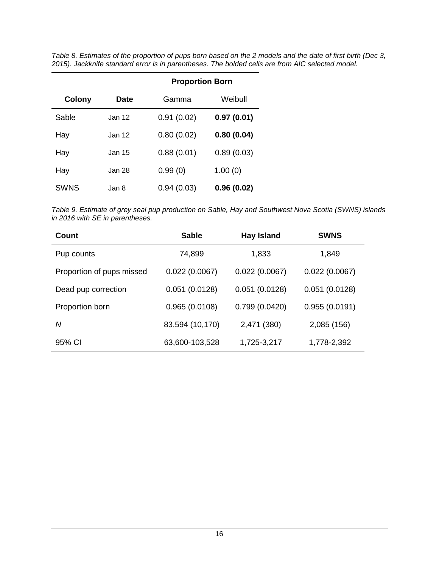| Table 8. Estimates of the proportion of pups born based on the 2 models and the date of first birth (Dec 3, |  |
|-------------------------------------------------------------------------------------------------------------|--|
| 2015). Jackknife standard error is in parentheses. The bolded cells are from AIC selected model.            |  |

|               |             | <b>Proportion Born</b> |            |  |
|---------------|-------------|------------------------|------------|--|
| <b>Colony</b> | <b>Date</b> | Gamma                  | Weibull    |  |
| Sable         | Jan 12      | 0.91(0.02)             | 0.97(0.01) |  |
| Hay           | Jan 12      | 0.80(0.02)             | 0.80(0.04) |  |
| Hay           | Jan 15      | 0.88(0.01)             | 0.89(0.03) |  |
| Hay           | Jan 28      | 0.99(0)                | 1.00(0)    |  |
| <b>SWNS</b>   | Jan 8.      | 0.94(0.03)             | 0.96(0.02) |  |

*Table 9. Estimate of grey seal pup production on Sable, Hay and Southwest Nova Scotia (SWNS) islands in 2016 with SE in parentheses.*

| Count                     | <b>Sable</b>    | <b>Hay Island</b> | <b>SWNS</b>   |
|---------------------------|-----------------|-------------------|---------------|
| Pup counts                | 74,899          | 1,833             | 1,849         |
| Proportion of pups missed | 0.022(0.0067)   | 0.022(0.0067)     | 0.022(0.0067) |
| Dead pup correction       | 0.051(0.0128)   | 0.051(0.0128)     | 0.051(0.0128) |
| Proportion born           | 0.965(0.0108)   | 0.799(0.0420)     | 0.955(0.0191) |
| N                         | 83,594 (10,170) | 2,471 (380)       | 2,085 (156)   |
| 95% CI                    | 63,600-103,528  | 1,725-3,217       | 1,778-2,392   |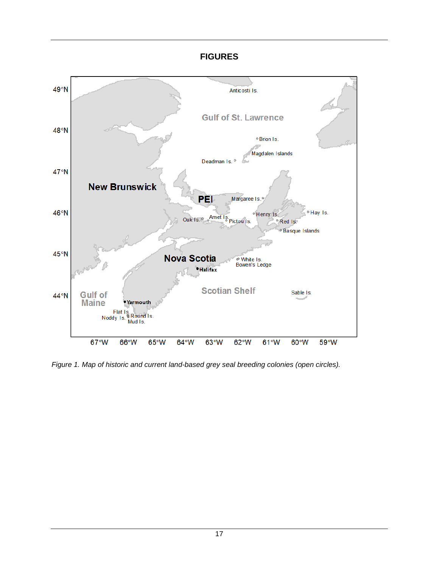## **FIGURES**



*Figure 1. Map of historic and current land-based grey seal breeding colonies (open circles).*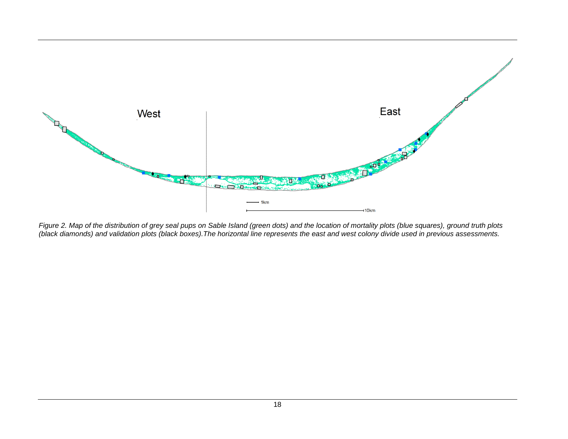

*Figure 2. Map of the distribution of grey seal pups on Sable Island (green dots) and the location of mortality plots (blue squares), ground truth plots (black diamonds) and validation plots (black boxes).The horizontal line represents the east and west colony divide used in previous assessments.*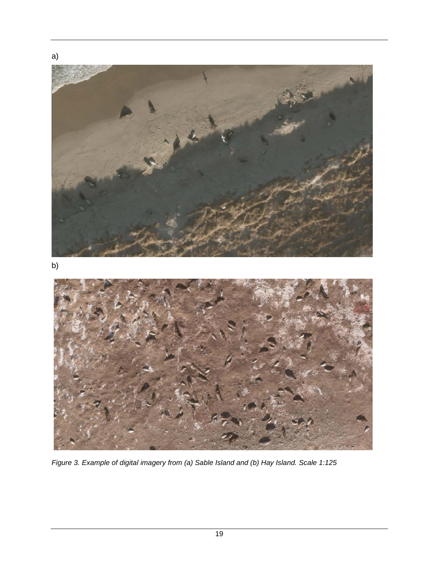

*Figure 3. Example of digital imagery from (a) Sable Island and (b) Hay Island. Scale 1:125*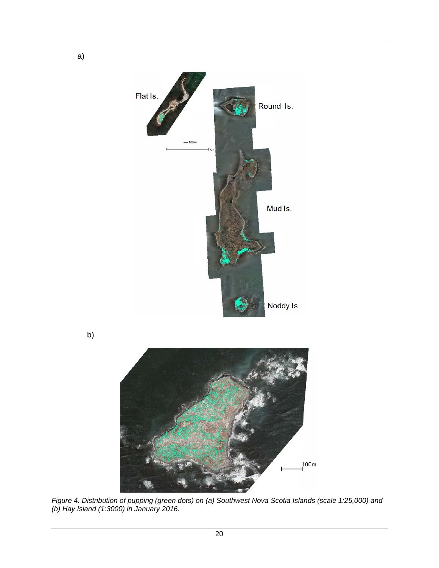

b)

a)



*Figure 4. Distribution of pupping (green dots) on (a) Southwest Nova Scotia Islands (scale 1:25,000) and (b) Hay Island (1:3000) in January 2016.*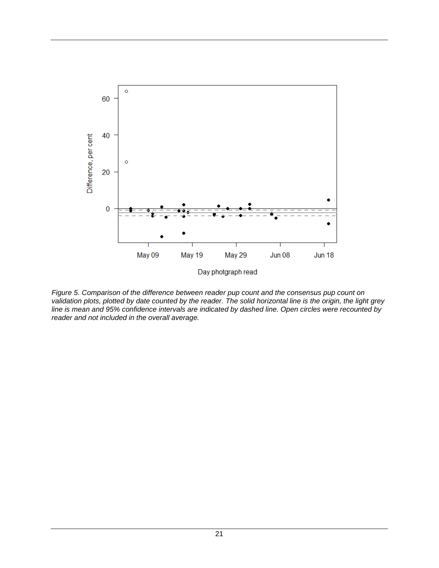

*Figure 5. Comparison of the difference between reader pup count and the consensus pup count on validation plots, plotted by date counted by the reader. The solid horizontal line is the origin, the light grey line is mean and 95% confidence intervals are indicated by dashed line. Open circles were recounted by reader and not included in the overall average.*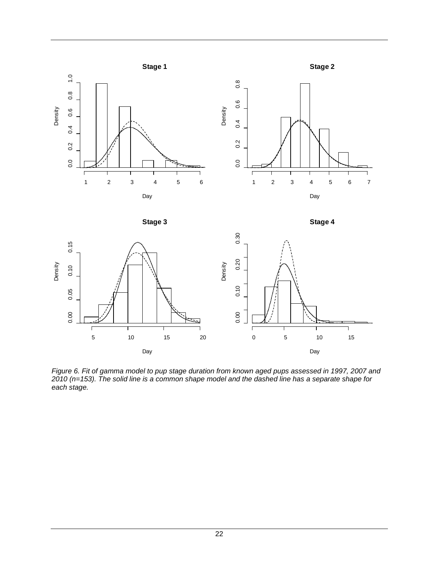

*Figure 6. Fit of gamma model to pup stage duration from known aged pups assessed in 1997, 2007 and 2010 (n=153). The solid line is a common shape model and the dashed line has a separate shape for each stage.*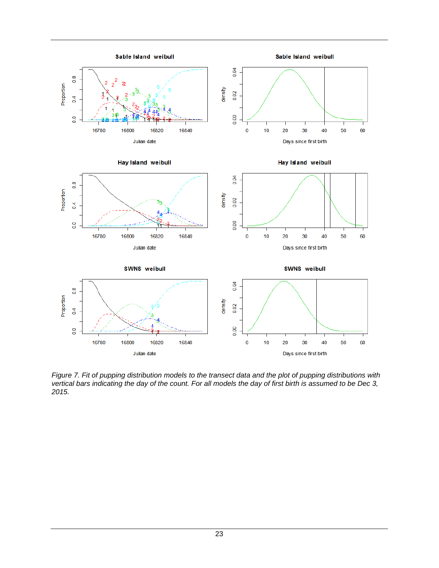

*Figure 7. Fit of pupping distribution models to the transect data and the plot of pupping distributions with vertical bars indicating the day of the count. For all models the day of first birth is assumed to be Dec 3, 2015.*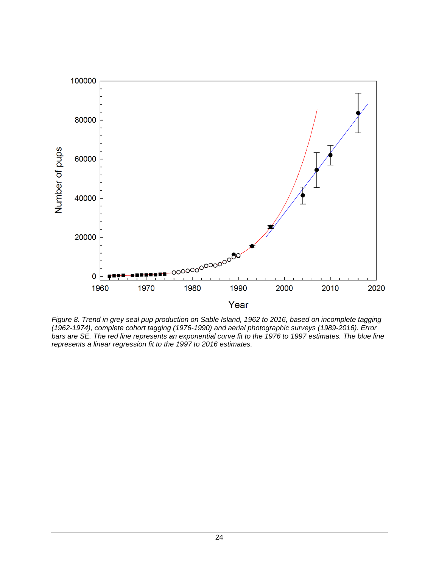

*Figure 8. Trend in grey seal pup production on Sable Island, 1962 to 2016, based on incomplete tagging (1962-1974), complete cohort tagging (1976-1990) and aerial photographic surveys (1989-2016). Error bars are SE. The red line represents an exponential curve fit to the 1976 to 1997 estimates. The blue line represents a linear regression fit to the 1997 to 2016 estimates.*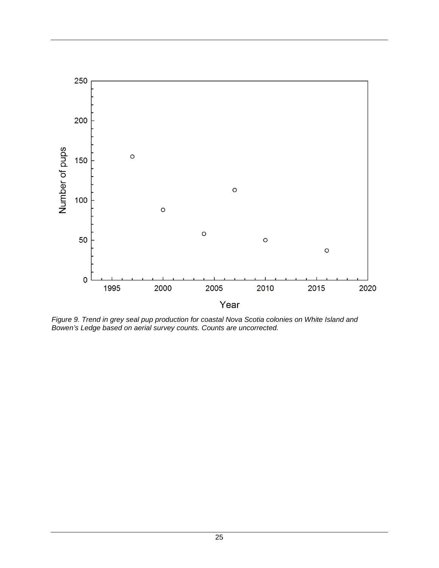

*Figure 9. Trend in grey seal pup production for coastal Nova Scotia colonies on White Island and Bowen's Ledge based on aerial survey counts. Counts are uncorrected.*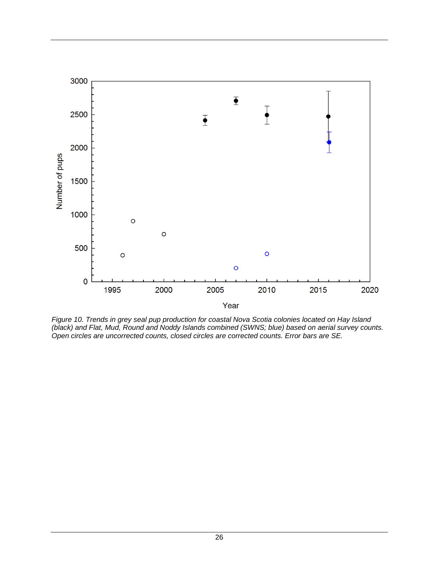

*Figure 10. Trends in grey seal pup production for coastal Nova Scotia colonies located on Hay Island (black) and Flat, Mud, Round and Noddy Islands combined (SWNS; blue) based on aerial survey counts. Open circles are uncorrected counts, closed circles are corrected counts. Error bars are SE.*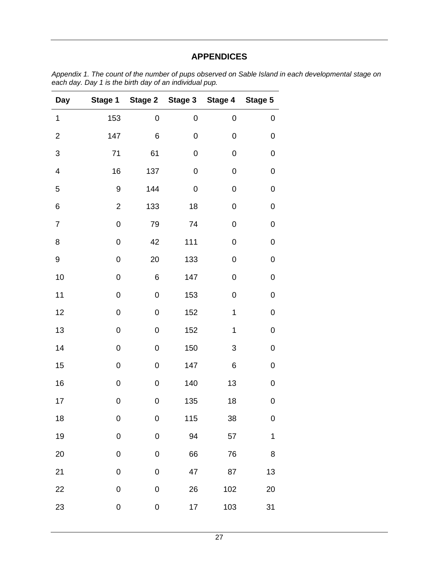## **APPENDICES**

| Day                       | Stage 1          | <b>Stage 2</b>   | Stage 3          | Stage 4          | Stage 5          |
|---------------------------|------------------|------------------|------------------|------------------|------------------|
| 1                         | 153              | 0                | 0                | $\boldsymbol{0}$ | 0                |
| $\overline{2}$            | 147              | 6                | 0                | $\boldsymbol{0}$ | $\mathbf 0$      |
| $\ensuremath{\mathsf{3}}$ | 71               | 61               | 0                | $\boldsymbol{0}$ | $\mathbf 0$      |
| $\overline{\mathcal{A}}$  | 16               | 137              | $\boldsymbol{0}$ | $\boldsymbol{0}$ | $\boldsymbol{0}$ |
| 5                         | 9                | 144              | $\boldsymbol{0}$ | $\boldsymbol{0}$ | $\mathbf 0$      |
| 6                         | $\overline{c}$   | 133              | 18               | $\boldsymbol{0}$ | $\mathbf 0$      |
| $\overline{7}$            | $\mathbf 0$      | 79               | 74               | $\mathbf 0$      | $\mathbf 0$      |
| 8                         | $\mathbf 0$      | 42               | 111              | $\mathbf 0$      | $\boldsymbol{0}$ |
| 9                         | $\boldsymbol{0}$ | 20               | 133              | $\mathbf 0$      | 0                |
| 10                        | $\boldsymbol{0}$ | 6                | 147              | $\mathbf 0$      | 0                |
| 11                        | $\boldsymbol{0}$ | $\mathbf 0$      | 153              | $\mathbf 0$      | $\boldsymbol{0}$ |
| 12                        | $\boldsymbol{0}$ | $\pmb{0}$        | 152              | $\mathbf 1$      | $\boldsymbol{0}$ |
| 13                        | $\boldsymbol{0}$ | 0                | 152              | $\mathbf 1$      | $\boldsymbol{0}$ |
| 14                        | $\boldsymbol{0}$ | $\mathbf 0$      | 150              | 3                | $\boldsymbol{0}$ |
| 15                        | $\boldsymbol{0}$ | $\boldsymbol{0}$ | 147              | 6                | $\boldsymbol{0}$ |
| 16                        | $\boldsymbol{0}$ | 0                | 140              | 13               | $\boldsymbol{0}$ |
| 17                        | $\boldsymbol{0}$ | 0                | 135              | 18               | $\bf{0}$         |
| 18                        | 0                | 0                | 115              | 38               | 0                |
| 19                        | $\boldsymbol{0}$ | $\overline{0}$   | 94               | 57               | $\mathbf{1}$     |
| 20                        | $\mathbf 0$      | 0                | 66               | 76               | 8                |
| 21                        | $\pmb{0}$        | 0                | 47               | 87               | 13               |
| 22                        | 0                | 0                | 26               | 102              | 20               |
| 23                        | $\bf{0}$         | $\mathbf 0$      | 17               | 103              | 31               |

*Appendix 1. The count of the number of pups observed on Sable Island in each developmental stage on each day. Day 1 is the birth day of an individual pup.*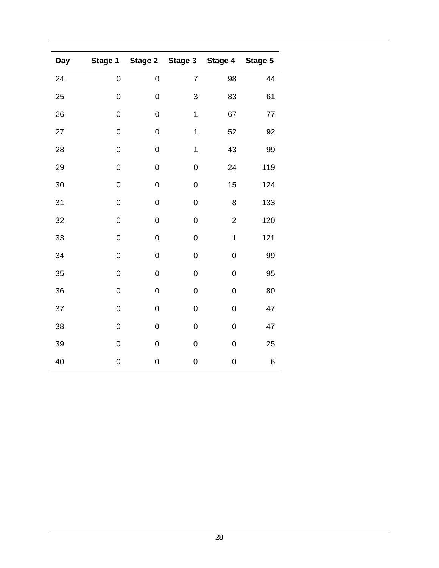| <b>Day</b> | Stage 1          | <b>Stage 2</b> | Stage 3          | Stage 4        | Stage 5 |
|------------|------------------|----------------|------------------|----------------|---------|
| 24         | $\boldsymbol{0}$ | $\mathbf 0$    | $\overline{7}$   | 98             | 44      |
| 25         | 0                | $\mathbf 0$    | 3                | 83             | 61      |
| 26         | 0                | $\mathbf 0$    | 1                | 67             | 77      |
| 27         | $\boldsymbol{0}$ | $\mathbf 0$    | $\mathbf 1$      | 52             | 92      |
| 28         | $\boldsymbol{0}$ | $\mathbf 0$    | $\mathbf 1$      | 43             | 99      |
| 29         | $\boldsymbol{0}$ | $\mathbf 0$    | $\overline{0}$   | 24             | 119     |
| 30         | $\mathbf 0$      | $\overline{0}$ | $\overline{0}$   | 15             | 124     |
| 31         | $\mathbf 0$      | $\overline{0}$ | $\overline{0}$   | 8              | 133     |
| 32         | $\boldsymbol{0}$ | $\mathbf 0$    | $\mathbf 0$      | $\overline{c}$ | 120     |
| 33         | 0                | $\mathbf 0$    | $\boldsymbol{0}$ | $\overline{1}$ | 121     |
| 34         | 0                | $\mathbf 0$    | $\mathbf 0$      | $\mathbf 0$    | 99      |
| 35         | 0                | $\mathbf 0$    | $\mathbf 0$      | $\mathbf 0$    | 95      |
| 36         | 0                | $\mathbf 0$    | $\mathbf 0$      | $\mathbf 0$    | 80      |
| 37         | 0                | $\mathbf 0$    | $\mathbf 0$      | $\mathbf 0$    | 47      |
| 38         | 0                | $\mathbf 0$    | $\mathbf 0$      | $\mathbf 0$    | 47      |
| 39         | $\boldsymbol{0}$ | $\mathbf 0$    | $\mathbf 0$      | $\mathbf 0$    | 25      |
| 40         | 0                | $\mathbf 0$    | $\overline{0}$   | $\mathbf 0$    | $\,6$   |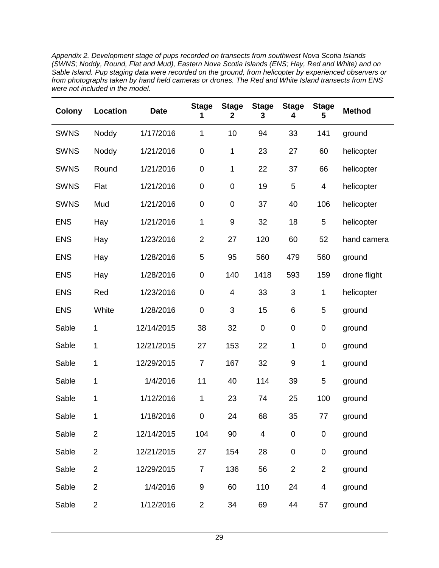*Appendix 2. Development stage of pups recorded on transects from southwest Nova Scotia Islands (SWNS; Noddy, Round, Flat and Mud), Eastern Nova Scotia Islands (ENS; Hay, Red and White) and on Sable Island. Pup staging data were recorded on the ground, from helicopter by experienced observers or from photographs taken by hand held cameras or drones. The Red and White Island transects from ENS were not included in the model.*

| <b>Colony</b> | Location       | <b>Date</b> | <b>Stage</b><br>1   | <b>Stage</b><br>2       | <b>Stage</b><br>3 | <b>Stage</b><br>4 | <b>Stage</b><br>5       | <b>Method</b> |
|---------------|----------------|-------------|---------------------|-------------------------|-------------------|-------------------|-------------------------|---------------|
| <b>SWNS</b>   | Noddy          | 1/17/2016   | 1                   | 10                      | 94                | 33                | 141                     | ground        |
| <b>SWNS</b>   | Noddy          | 1/21/2016   | $\pmb{0}$           | 1                       | 23                | 27                | 60                      | helicopter    |
| <b>SWNS</b>   | Round          | 1/21/2016   | $\mathsf{O}\xspace$ | 1                       | 22                | 37                | 66                      | helicopter    |
| <b>SWNS</b>   | Flat           | 1/21/2016   | $\mathsf{O}\xspace$ | $\boldsymbol{0}$        | 19                | 5                 | $\overline{\mathbf{4}}$ | helicopter    |
| <b>SWNS</b>   | Mud            | 1/21/2016   | $\mathsf{O}\xspace$ | $\boldsymbol{0}$        | 37                | 40                | 106                     | helicopter    |
| <b>ENS</b>    | Hay            | 1/21/2016   | 1                   | $\boldsymbol{9}$        | 32                | 18                | 5                       | helicopter    |
| <b>ENS</b>    | Hay            | 1/23/2016   | $\overline{2}$      | 27                      | 120               | 60                | 52                      | hand camera   |
| <b>ENS</b>    | Hay            | 1/28/2016   | 5                   | 95                      | 560               | 479               | 560                     | ground        |
| <b>ENS</b>    | Hay            | 1/28/2016   | $\pmb{0}$           | 140                     | 1418              | 593               | 159                     | drone flight  |
| <b>ENS</b>    | Red            | 1/23/2016   | $\boldsymbol{0}$    | $\overline{\mathbf{4}}$ | 33                | 3                 | 1                       | helicopter    |
| <b>ENS</b>    | White          | 1/28/2016   | $\mathsf 0$         | 3                       | 15                | 6                 | 5                       | ground        |
| Sable         | 1              | 12/14/2015  | 38                  | 32                      | $\boldsymbol{0}$  | $\boldsymbol{0}$  | $\mathsf{O}\xspace$     | ground        |
| Sable         | 1              | 12/21/2015  | 27                  | 153                     | 22                | $\mathbf 1$       | $\pmb{0}$               | ground        |
| Sable         | 1              | 12/29/2015  | $\overline{7}$      | 167                     | 32                | $\boldsymbol{9}$  | 1                       | ground        |
| Sable         | 1              | 1/4/2016    | 11                  | 40                      | 114               | 39                | 5                       | ground        |
| Sable         | 1              | 1/12/2016   | 1                   | 23                      | 74                | 25                | 100                     | ground        |
| Sable         | 1              | 1/18/2016   | $\mathsf{O}\xspace$ | 24                      | 68                | 35                | 77                      | ground        |
| Sable         | $\overline{2}$ | 12/14/2015  | 104                 | 90                      | 4                 | $\boldsymbol{0}$  | $\pmb{0}$               | ground        |
| Sable         | $\overline{2}$ | 12/21/2015  | 27                  | 154                     | 28                | $\boldsymbol{0}$  | $\pmb{0}$               | ground        |
| Sable         | $\overline{2}$ | 12/29/2015  | $\overline{7}$      | 136                     | 56                | $\overline{2}$    | $\overline{2}$          | ground        |
| Sable         | $\overline{2}$ | 1/4/2016    | 9                   | 60                      | 110               | 24                | $\overline{\mathbf{4}}$ | ground        |
| Sable         | $\overline{2}$ | 1/12/2016   | $\overline{c}$      | 34                      | 69                | 44                | 57                      | ground        |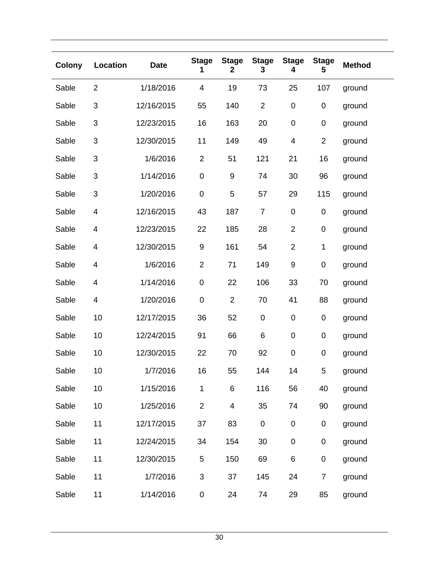| <b>Colony</b> | Location                | <b>Date</b> | <b>Stage</b><br>1 | <b>Stage</b><br>2 | <b>Stage</b><br>3 | <b>Stage</b><br>4 | <b>Stage</b><br>5   | <b>Method</b> |
|---------------|-------------------------|-------------|-------------------|-------------------|-------------------|-------------------|---------------------|---------------|
| Sable         | $\overline{2}$          | 1/18/2016   | 4                 | 19                | 73                | 25                | 107                 | ground        |
| Sable         | 3                       | 12/16/2015  | 55                | 140               | $\overline{2}$    | $\pmb{0}$         | $\pmb{0}$           | ground        |
| Sable         | 3                       | 12/23/2015  | 16                | 163               | 20                | $\pmb{0}$         | $\pmb{0}$           | ground        |
| Sable         | 3                       | 12/30/2015  | 11                | 149               | 49                | 4                 | $\overline{2}$      | ground        |
| Sable         | 3                       | 1/6/2016    | $\overline{2}$    | 51                | 121               | 21                | 16                  | ground        |
| Sable         | 3                       | 1/14/2016   | $\pmb{0}$         | 9                 | 74                | 30                | 96                  | ground        |
| Sable         | 3                       | 1/20/2016   | $\pmb{0}$         | 5                 | 57                | 29                | 115                 | ground        |
| Sable         | 4                       | 12/16/2015  | 43                | 187               | $\overline{7}$    | $\pmb{0}$         | 0                   | ground        |
| Sable         | 4                       | 12/23/2015  | 22                | 185               | 28                | $\overline{2}$    | $\pmb{0}$           | ground        |
| Sable         | $\overline{\mathbf{4}}$ | 12/30/2015  | 9                 | 161               | 54                | $\overline{2}$    | $\mathbf 1$         | ground        |
| Sable         | $\overline{\mathbf{4}}$ | 1/6/2016    | $\overline{2}$    | 71                | 149               | $\boldsymbol{9}$  | $\pmb{0}$           | ground        |
| Sable         | $\overline{\mathbf{4}}$ | 1/14/2016   | $\pmb{0}$         | 22                | 106               | 33                | 70                  | ground        |
| Sable         | 4                       | 1/20/2016   | $\pmb{0}$         | $\overline{2}$    | 70                | 41                | 88                  | ground        |
| Sable         | 10                      | 12/17/2015  | 36                | 52                | $\pmb{0}$         | $\pmb{0}$         | $\pmb{0}$           | ground        |
| Sable         | 10                      | 12/24/2015  | 91                | 66                | $\,6$             | $\pmb{0}$         | 0                   | ground        |
| Sable         | 10                      | 12/30/2015  | 22                | 70                | 92                | $\pmb{0}$         | 0                   | ground        |
| Sable         | 10                      | 1/7/2016    | 16                | 55                | 144               | 14                | 5                   | ground        |
| Sable         | 10                      | 1/15/2016   | 1                 | 6                 | 116               | 56                | 40                  | ground        |
| Sable         | 10                      | 1/25/2016   | $\overline{2}$    | 4                 | 35                | 74                | 90                  | ground        |
| Sable         | 11                      | 12/17/2015  | 37                | 83                | $\pmb{0}$         | $\pmb{0}$         | 0                   | ground        |
| Sable         | 11                      | 12/24/2015  | 34                | 154               | 30                | $\pmb{0}$         | $\mathsf{O}\xspace$ | ground        |
| Sable         | 11                      | 12/30/2015  | 5                 | 150               | 69                | 6                 | 0                   | ground        |
| Sable         | 11                      | 1/7/2016    | $\sqrt{3}$        | 37                | 145               | 24                | $\overline{7}$      | ground        |
| Sable         | 11                      | 1/14/2016   | $\pmb{0}$         | 24                | 74                | 29                | 85                  | ground        |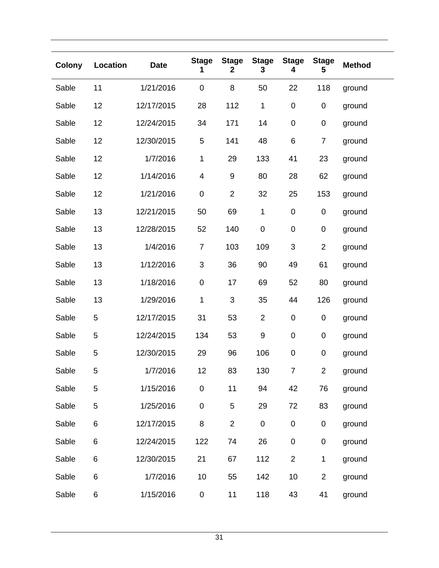| <b>Colony</b> | Location | <b>Date</b> | <b>Stage</b><br>1       | <b>Stage</b><br>$\mathbf{2}$ | <b>Stage</b><br>3 | <b>Stage</b><br>4 | <b>Stage</b><br>5 | <b>Method</b> |
|---------------|----------|-------------|-------------------------|------------------------------|-------------------|-------------------|-------------------|---------------|
| Sable         | 11       | 1/21/2016   | $\mathbf 0$             | 8                            | 50                | 22                | 118               | ground        |
| Sable         | 12       | 12/17/2015  | 28                      | 112                          | $\mathbf{1}$      | $\pmb{0}$         | $\pmb{0}$         | ground        |
| Sable         | 12       | 12/24/2015  | 34                      | 171                          | 14                | 0                 | 0                 | ground        |
| Sable         | 12       | 12/30/2015  | $\mathbf 5$             | 141                          | 48                | 6                 | $\boldsymbol{7}$  | ground        |
| Sable         | 12       | 1/7/2016    | 1                       | 29                           | 133               | 41                | 23                | ground        |
| Sable         | 12       | 1/14/2016   | $\overline{\mathbf{4}}$ | 9                            | 80                | 28                | 62                | ground        |
| Sable         | 12       | 1/21/2016   | $\pmb{0}$               | $\overline{2}$               | 32                | 25                | 153               | ground        |
| Sable         | 13       | 12/21/2015  | 50                      | 69                           | $\mathbf{1}$      | $\pmb{0}$         | 0                 | ground        |
| Sable         | 13       | 12/28/2015  | 52                      | 140                          | $\pmb{0}$         | $\pmb{0}$         | 0                 | ground        |
| Sable         | 13       | 1/4/2016    | $\overline{7}$          | 103                          | 109               | $\mathfrak{B}$    | $\overline{2}$    | ground        |
| Sable         | 13       | 1/12/2016   | $\sqrt{3}$              | 36                           | 90                | 49                | 61                | ground        |
| Sable         | 13       | 1/18/2016   | $\boldsymbol{0}$        | 17                           | 69                | 52                | 80                | ground        |
| Sable         | 13       | 1/29/2016   | $\mathbf{1}$            | 3                            | 35                | 44                | 126               | ground        |
| Sable         | 5        | 12/17/2015  | 31                      | 53                           | $\overline{2}$    | $\pmb{0}$         | 0                 | ground        |
| Sable         | 5        | 12/24/2015  | 134                     | 53                           | $\boldsymbol{9}$  | $\pmb{0}$         | $\pmb{0}$         | ground        |
| Sable         | 5        | 12/30/2015  | 29                      | 96                           | 106               | 0                 | 0                 | ground        |
| Sable         | 5        | 1/7/2016    | 12                      | 83                           | 130               | 7                 | $\overline{c}$    | ground        |
| Sable         | 5        | 1/15/2016   | $\pmb{0}$               | 11                           | 94                | 42                | 76                | ground        |
| Sable         | 5        | 1/25/2016   | $\mathsf{O}\xspace$     | 5                            | 29                | 72                | 83                | ground        |
| Sable         | 6        | 12/17/2015  | 8                       | $\overline{2}$               | $\pmb{0}$         | $\pmb{0}$         | 0                 | ground        |
| Sable         | 6        | 12/24/2015  | 122                     | 74                           | 26                | $\pmb{0}$         | 0                 | ground        |
| Sable         | 6        | 12/30/2015  | 21                      | 67                           | 112               | $\overline{2}$    | 1                 | ground        |
| Sable         | 6        | 1/7/2016    | 10                      | 55                           | 142               | 10                | $\overline{c}$    | ground        |
| Sable         | 6        | 1/15/2016   | $\pmb{0}$               | 11                           | 118               | 43                | 41                | ground        |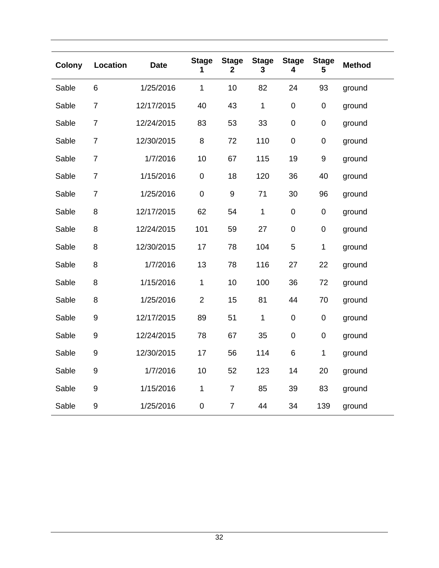| <b>Colony</b> | Location       | <b>Date</b> | <b>Stage</b><br>1 | <b>Stage</b><br>$\mathbf{2}$ | <b>Stage</b><br>3 | <b>Stage</b><br>4 | <b>Stage</b><br>5 | <b>Method</b> |
|---------------|----------------|-------------|-------------------|------------------------------|-------------------|-------------------|-------------------|---------------|
| Sable         | 6              | 1/25/2016   | $\mathbf{1}$      | 10                           | 82                | 24                | 93                | ground        |
| Sable         | $\overline{7}$ | 12/17/2015  | 40                | 43                           | $\mathbf 1$       | $\mathbf 0$       | $\pmb{0}$         | ground        |
| Sable         | $\overline{7}$ | 12/24/2015  | 83                | 53                           | 33                | $\mathbf 0$       | $\mathbf 0$       | ground        |
| Sable         | $\overline{7}$ | 12/30/2015  | 8                 | 72                           | 110               | $\mathbf 0$       | $\mathbf 0$       | ground        |
| Sable         | $\overline{7}$ | 1/7/2016    | 10                | 67                           | 115               | 19                | 9                 | ground        |
| Sable         | $\overline{7}$ | 1/15/2016   | $\pmb{0}$         | 18                           | 120               | 36                | 40                | ground        |
| Sable         | $\overline{7}$ | 1/25/2016   | $\pmb{0}$         | $\boldsymbol{9}$             | 71                | 30                | 96                | ground        |
| Sable         | 8              | 12/17/2015  | 62                | 54                           | $\mathbf 1$       | $\pmb{0}$         | $\pmb{0}$         | ground        |
| Sable         | 8              | 12/24/2015  | 101               | 59                           | 27                | $\mathbf 0$       | $\boldsymbol{0}$  | ground        |
| Sable         | 8              | 12/30/2015  | 17                | 78                           | 104               | 5                 | 1                 | ground        |
| Sable         | 8              | 1/7/2016    | 13                | 78                           | 116               | 27                | 22                | ground        |
| Sable         | 8              | 1/15/2016   | $\mathbf 1$       | 10                           | 100               | 36                | 72                | ground        |
| Sable         | 8              | 1/25/2016   | $\overline{2}$    | 15                           | 81                | 44                | 70                | ground        |
| Sable         | 9              | 12/17/2015  | 89                | 51                           | $\mathbf 1$       | $\mathbf 0$       | $\mathbf 0$       | ground        |
| Sable         | 9              | 12/24/2015  | 78                | 67                           | 35                | $\boldsymbol{0}$  | $\mathbf 0$       | ground        |
| Sable         | 9              | 12/30/2015  | 17                | 56                           | 114               | 6                 | 1                 | ground        |
| Sable         | 9              | 1/7/2016    | 10                | 52                           | 123               | 14                | 20                | ground        |
| Sable         | 9              | 1/15/2016   | $\mathbf{1}$      | $\overline{7}$               | 85                | 39                | 83                | ground        |
| Sable         | $\mathsf 9$    | 1/25/2016   | $\boldsymbol{0}$  | $\overline{7}$               | 44                | 34                | 139               | ground        |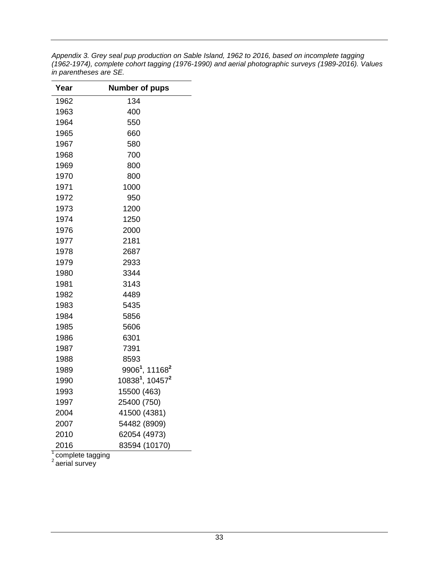*Appendix 3. Grey seal pup production on Sable Island, 1962 to 2016, based on incomplete tagging (1962-1974), complete cohort tagging (1976-1990) and aerial photographic surveys (1989-2016). Values in parentheses are SE.*

| Year | <b>Number of pups</b>                   |
|------|-----------------------------------------|
| 1962 | 134                                     |
| 1963 | 400                                     |
| 1964 | 550                                     |
| 1965 | 660                                     |
| 1967 | 580                                     |
| 1968 | 700                                     |
| 1969 | 800                                     |
| 1970 | 800                                     |
| 1971 | 1000                                    |
| 1972 | 950                                     |
| 1973 | 1200                                    |
| 1974 | 1250                                    |
| 1976 | 2000                                    |
| 1977 | 2181                                    |
| 1978 | 2687                                    |
| 1979 | 2933                                    |
| 1980 | 3344                                    |
| 1981 | 3143                                    |
| 1982 | 4489                                    |
| 1983 | 5435                                    |
| 1984 | 5856                                    |
| 1985 | 5606                                    |
| 1986 | 6301                                    |
| 1987 | 7391                                    |
| 1988 | 8593                                    |
| 1989 | 9906 <sup>1</sup> , 11168 <sup>2</sup>  |
| 1990 | 10838 <sup>1</sup> , 10457 <sup>2</sup> |
| 1993 | 15500 (463)                             |
| 1997 | 25400 (750)                             |
| 2004 | 41500 (4381)                            |
| 2007 | 54482 (8909)                            |
| 2010 | 62054 (4973)                            |
| 2016 | 83594 (10170)                           |

<sup>1</sup> complete tagging

<sup>2</sup> aerial survey